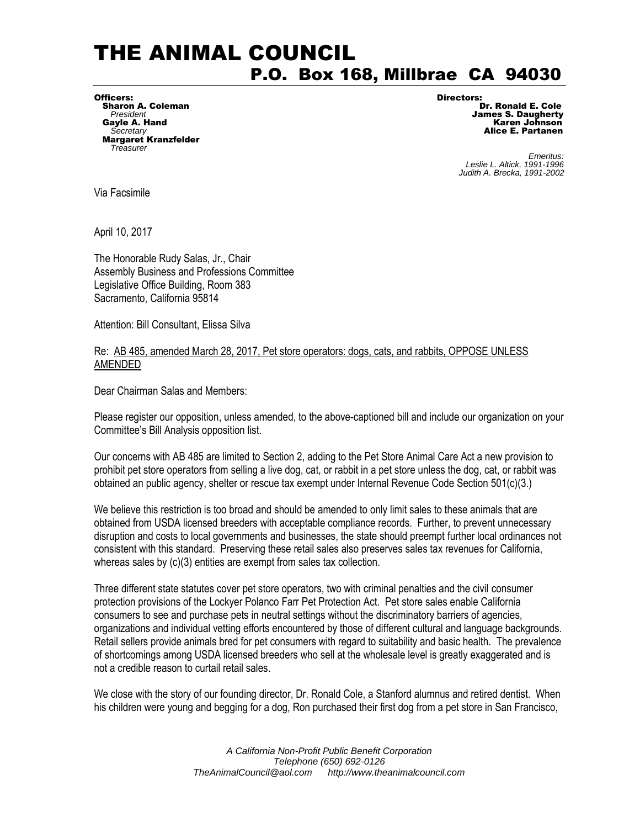## THE ANIMAL COUNCIL P.O. Box 168, Millbrae CA 94030

Officers: Directors: Sharon A. Coleman Secretary<br>**Margaret Kranzfelder**<br>Treasurer

**President James S. Daugherty** Gayle A. Hand **Cayle A. Hand Carry Control Control Cayle A. Hand Control Control Control Control Control Control Control Control Control Control Control Control Control Control Control Control Control Control Control Contr** 

**Find the Superior Contract of the Contract of Contract of Contract of Contract of Contract of Contract of Contract of Contract of Contract of Contract of Contract of Contract of Contract of Contract of Contract of Contrac**  *Leslie L. Altick, 1991-1996 Judith A. Brecka, 1991-2002* 

Via Facsimile

April 10, 2017

The Honorable Rudy Salas, Jr., Chair Assembly Business and Professions Committee Legislative Office Building, Room 383 Sacramento, California 95814

Attention: Bill Consultant, Elissa Silva

## Re: AB 485, amended March 28, 2017, Pet store operators: dogs, cats, and rabbits, OPPOSE UNLESS AMENDED

Dear Chairman Salas and Members:

Please register our opposition, unless amended, to the above-captioned bill and include our organization on your Committee's Bill Analysis opposition list.

Our concerns with AB 485 are limited to Section 2, adding to the Pet Store Animal Care Act a new provision to prohibit pet store operators from selling a live dog, cat, or rabbit in a pet store unless the dog, cat, or rabbit was obtained an public agency, shelter or rescue tax exempt under Internal Revenue Code Section 501(c)(3.)

We believe this restriction is too broad and should be amended to only limit sales to these animals that are obtained from USDA licensed breeders with acceptable compliance records. Further, to prevent unnecessary disruption and costs to local governments and businesses, the state should preempt further local ordinances not consistent with this standard. Preserving these retail sales also preserves sales tax revenues for California, whereas sales by (c)(3) entities are exempt from sales tax collection.

Three different state statutes cover pet store operators, two with criminal penalties and the civil consumer protection provisions of the Lockyer Polanco Farr Pet Protection Act. Pet store sales enable California consumers to see and purchase pets in neutral settings without the discriminatory barriers of agencies, organizations and individual vetting efforts encountered by those of different cultural and language backgrounds. Retail sellers provide animals bred for pet consumers with regard to suitability and basic health. The prevalence of shortcomings among USDA licensed breeders who sell at the wholesale level is greatly exaggerated and is not a credible reason to curtail retail sales.

We close with the story of our founding director, Dr. Ronald Cole, a Stanford alumnus and retired dentist. When his children were young and begging for a dog, Ron purchased their first dog from a pet store in San Francisco,